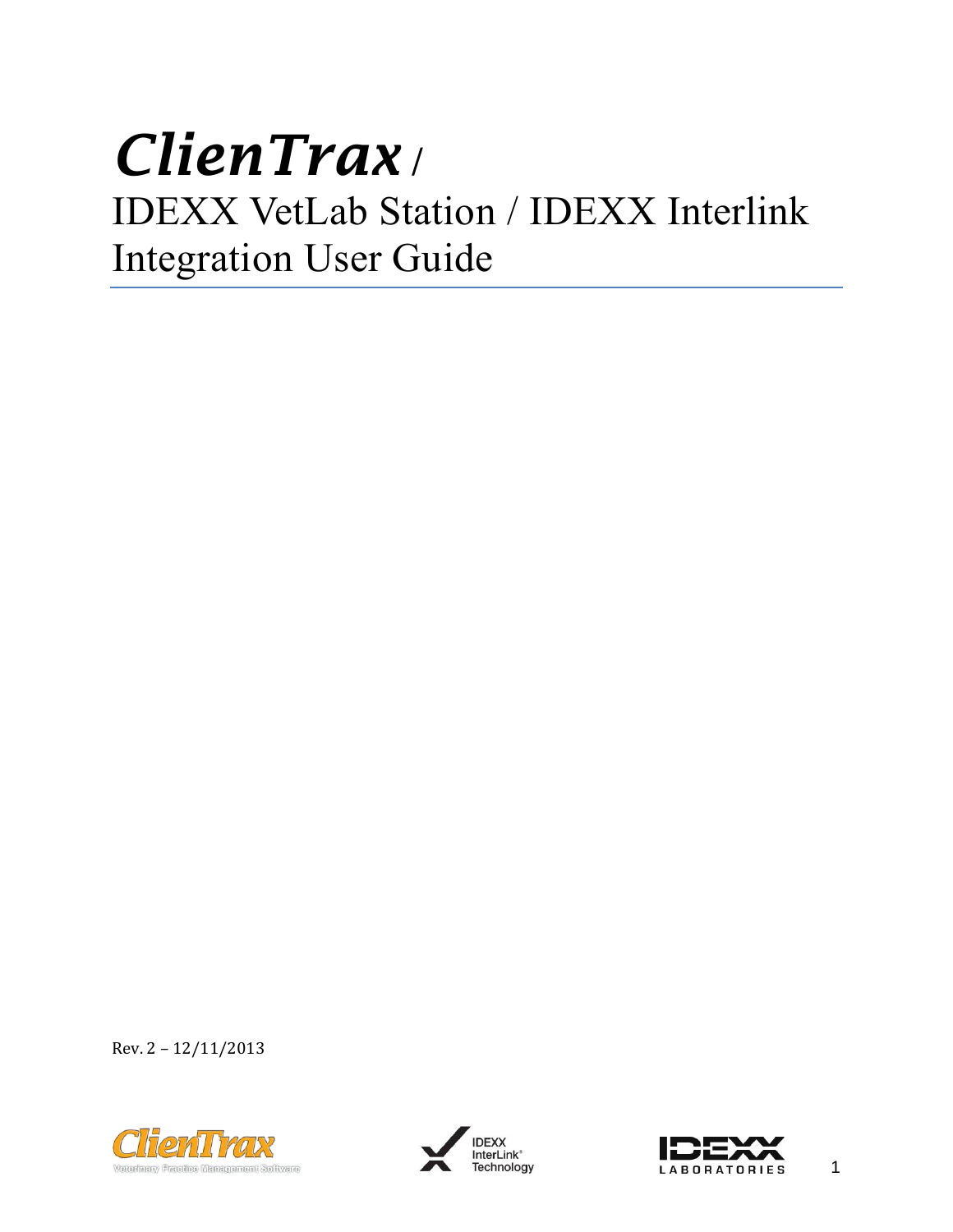# *ClienTrax* **/** IDEXX VetLab Station / IDEXX Interlink Integration User Guide

Rev. 2 – 12/11/2013





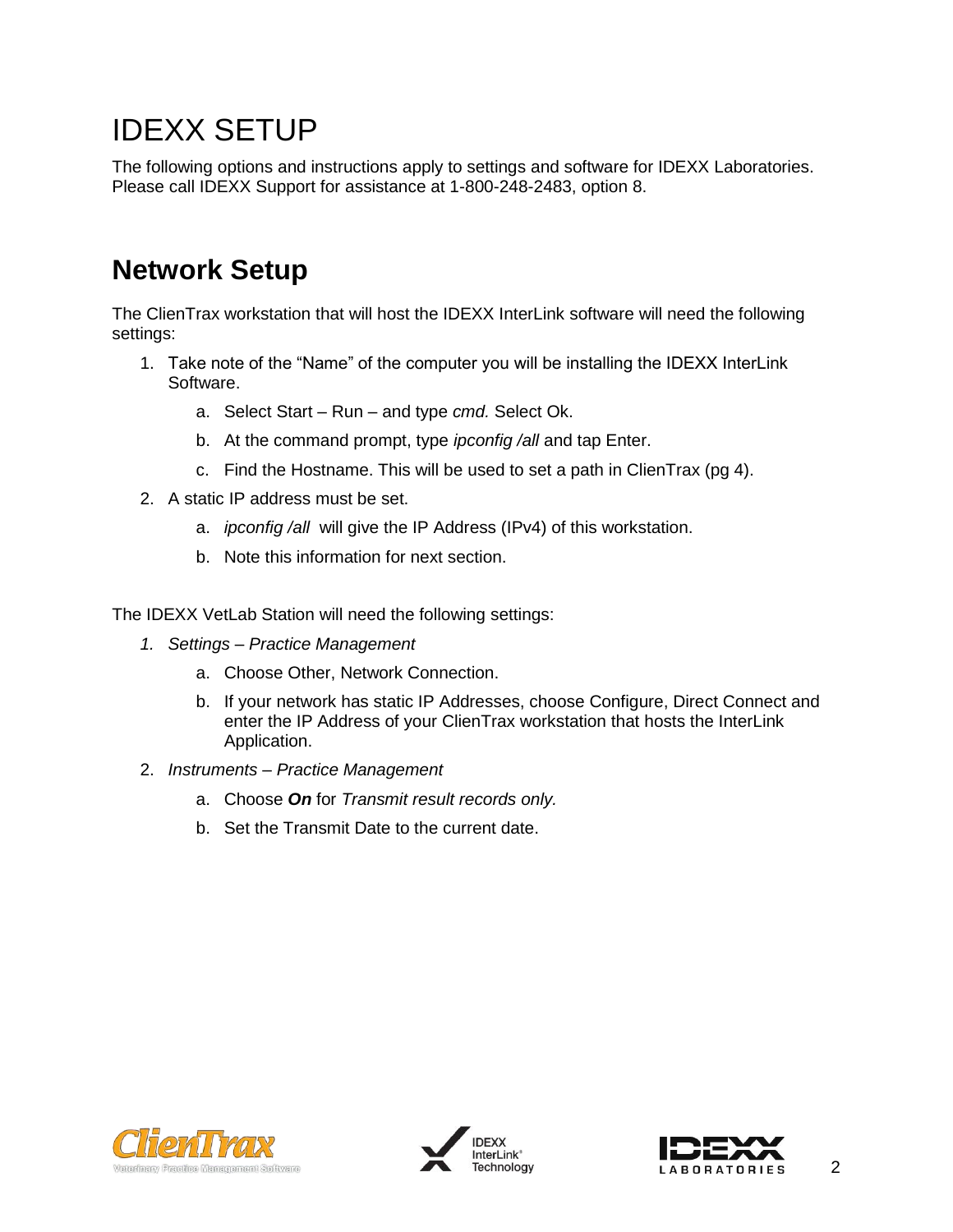# IDEXX SETUP

The following options and instructions apply to settings and software for IDEXX Laboratories. Please call IDEXX Support for assistance at 1-800-248-2483, option 8.

### **Network Setup**

The ClienTrax workstation that will host the IDEXX InterLink software will need the following settings:

- 1. Take note of the "Name" of the computer you will be installing the IDEXX InterLink Software.
	- a. Select Start Run and type *cmd.* Select Ok.
	- b. At the command prompt, type *ipconfig /all* and tap Enter.
	- c. Find the Hostname. This will be used to set a path in ClienTrax (pg 4).
- 2. A static IP address must be set.
	- a. *ipconfig /all* will give the IP Address (IPv4) of this workstation.
	- b. Note this information for next section.

The IDEXX VetLab Station will need the following settings:

- *1. Settings – Practice Management*
	- a. Choose Other, Network Connection.
	- b. If your network has static IP Addresses, choose Configure, Direct Connect and enter the IP Address of your ClienTrax workstation that hosts the InterLink Application.
- 2. *Instruments – Practice Management*
	- a. Choose *On* for *Transmit result records only.*
	- b. Set the Transmit Date to the current date.





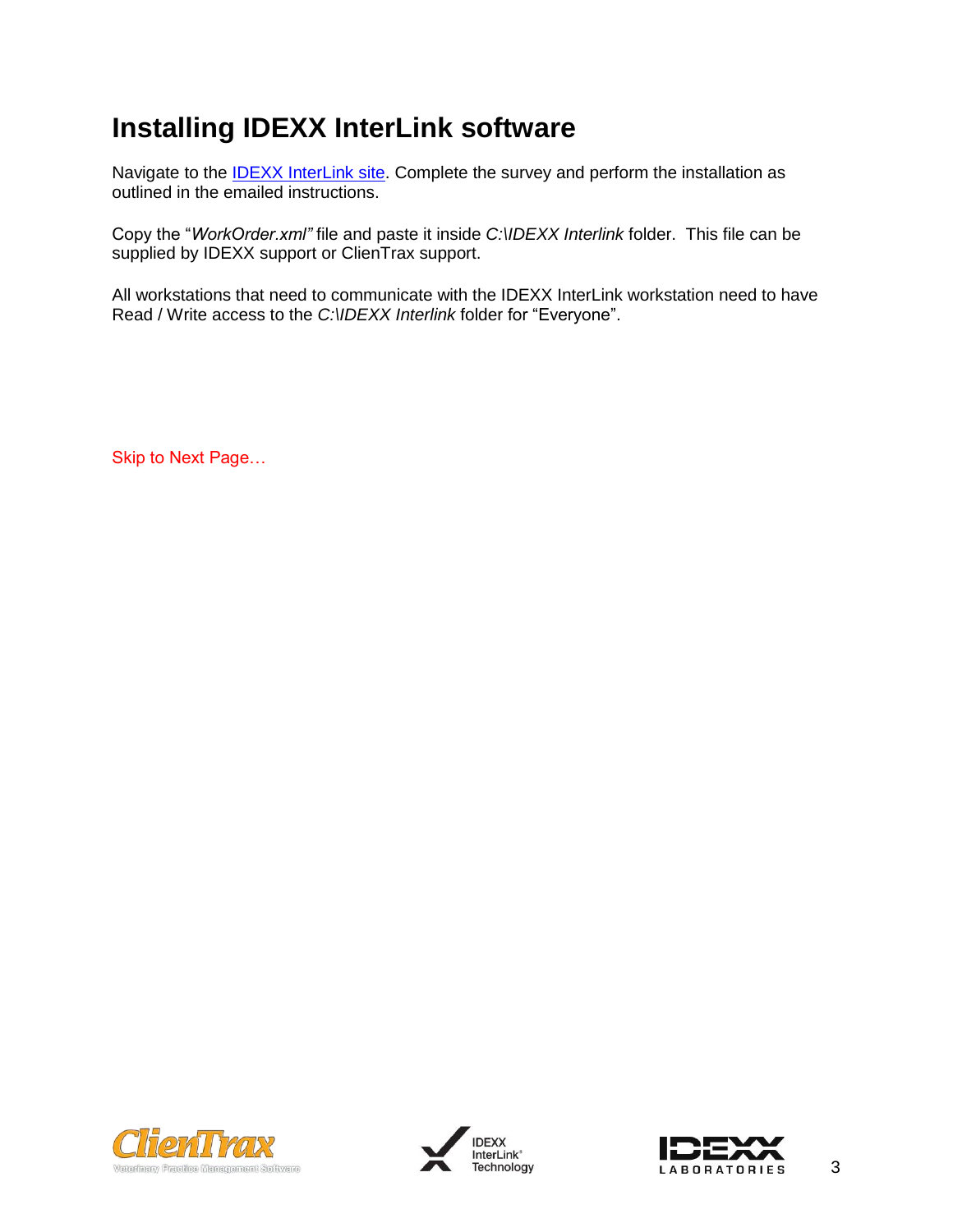### **Installing IDEXX InterLink software**

Navigate to the **IDEXX InterLink site**. Complete the survey and perform the installation as outlined in the emailed instructions.

Copy the "*WorkOrder.xml"* file and paste it inside *C:\IDEXX Interlink* folder. This file can be supplied by IDEXX support or ClienTrax support.

All workstations that need to communicate with the IDEXX InterLink workstation need to have Read / Write access to the *C:\IDEXX Interlink* folder for "Everyone".

Skip to Next Page…





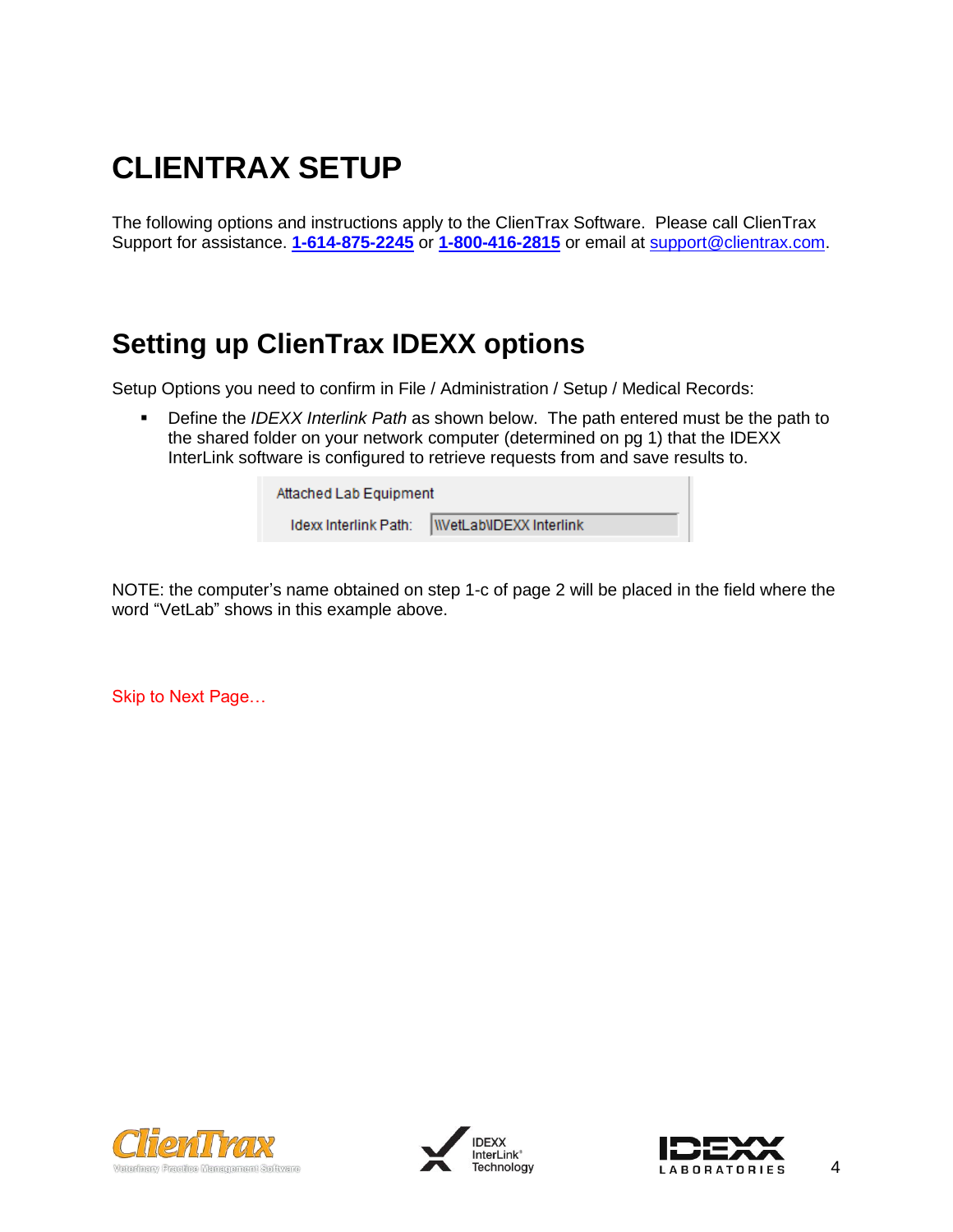# **CLIENTRAX SETUP**

The following options and instructions apply to the ClienTrax Software. Please call ClienTrax Support for assistance. **1-614-875-2245** or **[1-800-416-2815](mailto:1-800-416-2815)** or email at [support@clientrax.com.](mailto:support@clientrax.com)

### **Setting up ClienTrax IDEXX options**

Setup Options you need to confirm in File / Administration / Setup / Medical Records:

 Define the *IDEXX Interlink Path* as shown below. The path entered must be the path to the shared folder on your network computer (determined on pg 1) that the IDEXX InterLink software is configured to retrieve requests from and save results to.

> Attached Lab Equipment **WetLabNDEXX Interlink** Idexx Interlink Path:

NOTE: the computer's name obtained on step 1-c of page 2 will be placed in the field where the word "VetLab" shows in this example above.

Skip to Next Page…





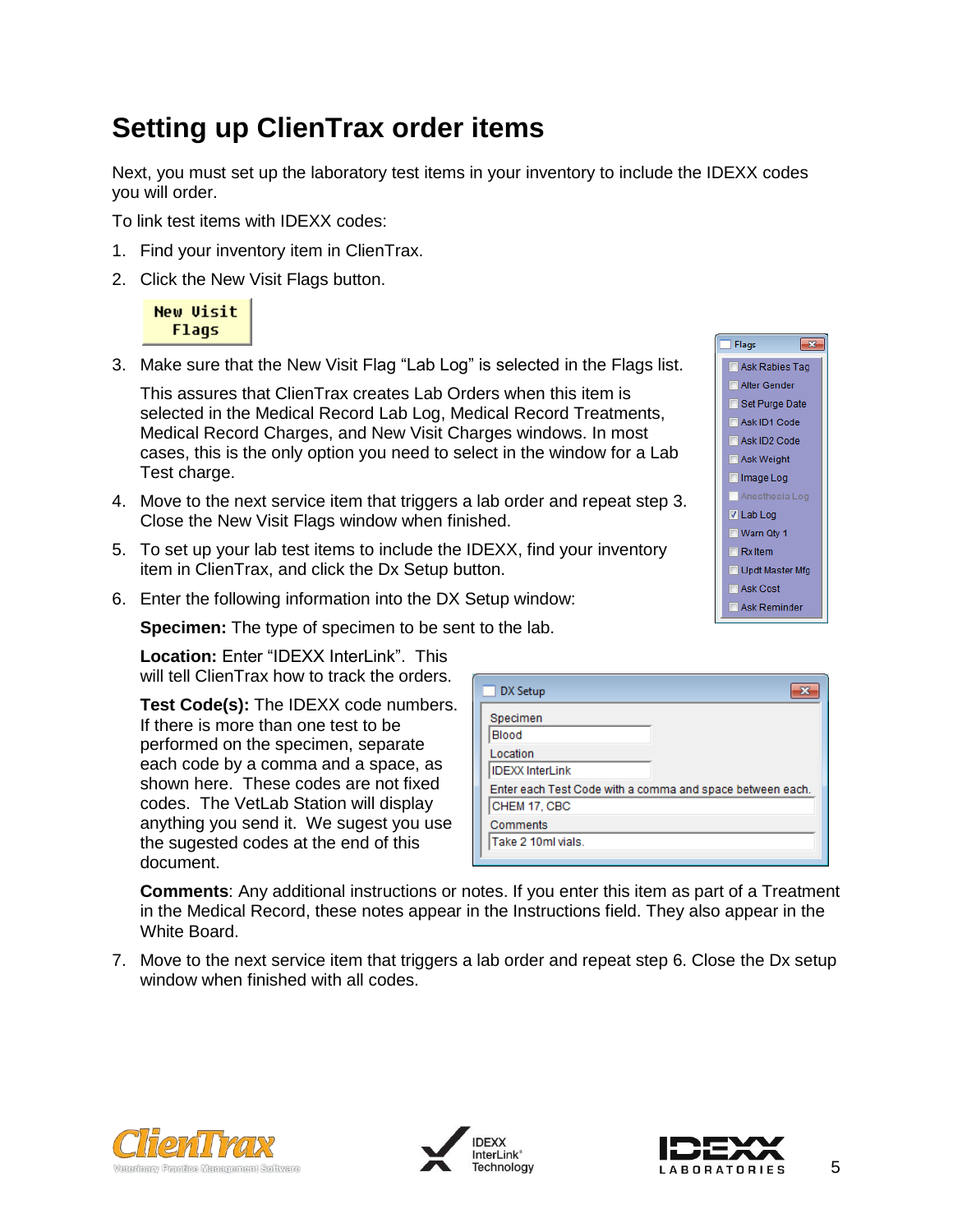### **Setting up ClienTrax order items**

Next, you must set up the laboratory test items in your inventory to include the IDEXX codes you will order.

To link test items with IDEXX codes:

- 1. Find your inventory item in ClienTrax.
- 2. Click the New Visit Flags button.

| New Uisit |
|-----------|
| Flags     |

3. Make sure that the New Visit Flag "Lab Log" is selected in the Flags list.

This assures that ClienTrax creates Lab Orders when this item is selected in the Medical Record Lab Log, Medical Record Treatments, Medical Record Charges, and New Visit Charges windows. In most cases, this is the only option you need to select in the window for a Lab Test charge.

- 4. Move to the next service item that triggers a lab order and repeat step 3. Close the New Visit Flags window when finished.
- 5. To set up your lab test items to include the IDEXX, find your inventory item in ClienTrax, and click the Dx Setup button.
- 6. Enter the following information into the DX Setup window:

**Specimen:** The type of specimen to be sent to the lab.

**Location:** Enter "IDEXX InterLink". This will tell ClienTrax how to track the orders.

**Test Code(s):** The IDEXX code numbers. If there is more than one test to be performed on the specimen, separate each code by a comma and a space, as shown here. These codes are not fixed codes. The VetLab Station will display anything you send it. We sugest you use the sugested codes at the end of this document.

| DX Setup                                                  |
|-----------------------------------------------------------|
| Specimen<br>Blood                                         |
| Location                                                  |
| <b>IDEXX InterLink</b>                                    |
| Enter each Test Code with a comma and space between each. |
| CHEM 17, CBC                                              |
| Comments                                                  |
| Take 2 10ml vials.                                        |
|                                                           |

**Comments**: Any additional instructions or notes. If you enter this item as part of a Treatment in the Medical Record, these notes appear in the Instructions field. They also appear in the White Board.

7. Move to the next service item that triggers a lab order and repeat step 6. Close the Dx setup window when finished with all codes.







| Flags<br>$-x$    |
|------------------|
| Ask Rabies Tag   |
| Alter Gender     |
| Set Purge Date   |
| Ask ID1 Code     |
| Ask ID2 Code     |
| Ask Weight       |
| <b>Image Log</b> |
| Anesthesia Log   |
| $\nabla$ Lab Log |
| Warn Qty 1       |
| $\Box$ Rx Item   |
| Updt Master Mfg  |
| Ask Cost         |
| Ask Reminder     |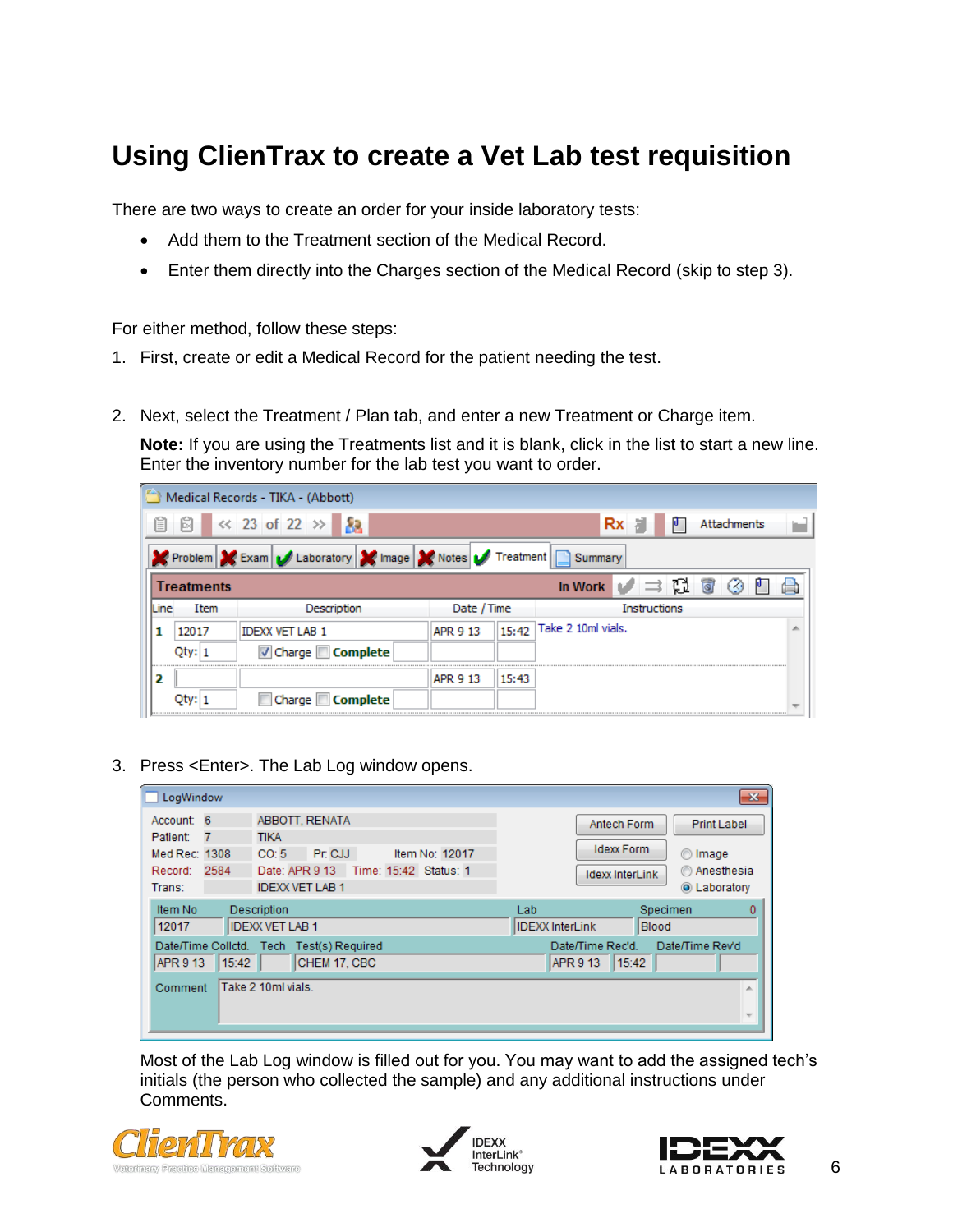### **Using ClienTrax to create a Vet Lab test requisition**

There are two ways to create an order for your inside laboratory tests:

- Add them to the Treatment section of the Medical Record.
- Enter them directly into the Charges section of the Medical Record (skip to step 3).

For either method, follow these steps:

- 1. First, create or edit a Medical Record for the patient needing the test.
- 2. Next, select the Treatment / Plan tab, and enter a new Treatment or Charge item.

**Note:** If you are using the Treatments list and it is blank, click in the list to start a new line. Enter the inventory number for the lab test you want to order.

|      |                   | Medical Records - TIKA - (Abbott)                     |                 |       |                                              |                              |  |
|------|-------------------|-------------------------------------------------------|-----------------|-------|----------------------------------------------|------------------------------|--|
| Ê    | 閬                 | $\ll$ 23 of 22 $\gg$ 22                               |                 |       | Rx<br>Ū                                      | Attachments                  |  |
|      |                   | X Problem X Exam Laboratory X Image X Notes Treatment |                 |       | Summary                                      |                              |  |
|      | <b>Treatments</b> |                                                       |                 |       | $\Rightarrow$ 0<br>In Work <b>In The Top</b> | $\overline{\mathbf{S}}$<br>w |  |
| Line | Item              | Description                                           | Date / Time     |       | <b>Instructions</b>                          |                              |  |
|      | 12017             | <b>IDEXX VET LAB 1</b>                                | APR 9 13        |       | 15:42 Take 2 10ml vials.                     |                              |  |
|      | Qty: 1            | √ Charge ■ Complete                                   |                 |       |                                              |                              |  |
| 2    |                   |                                                       | <b>APR 9 13</b> | 15:43 |                                              |                              |  |
|      | Qty: 1            | Charge <b>Complete</b>                                |                 |       |                                              |                              |  |

3. Press <Enter>. The Lab Log window opens.

| LogWindow                |                             |                                       |                                  |                       |                |     |                              |                                      |                 | $\mathbf{x}$                    |
|--------------------------|-----------------------------|---------------------------------------|----------------------------------|-----------------------|----------------|-----|------------------------------|--------------------------------------|-----------------|---------------------------------|
| Account: 6<br>Patient:   | 7                           | ABBOTT, RENATA<br><b>TIKA</b>         |                                  |                       |                |     |                              | Antech Form                          |                 | <b>Print Label</b>              |
| Med Rec: 1308<br>Record: | 2584                        | CO:5<br>Date: APR 9 13                | Pr: CJJ                          | Time: 15:42 Status: 1 | Item No: 12017 |     |                              | <b>Idexx Form</b><br>Idexx InterLink | O Image         | Anesthesia                      |
| Trans:<br>Item No        |                             | <b>IDEXX VET LAB 1</b><br>Description |                                  |                       |                | Lab |                              |                                      | Specimen        | <b>O</b> Laboratory<br>$\Omega$ |
| 12017                    |                             | <b>IDEXX VET LAB 1</b>                |                                  |                       |                |     | <b>IDEXX InterLink</b>       |                                      | <b>Blood</b>    |                                 |
| APR 9 13                 | Date/Time Collctd.<br>15:42 | Tech                                  | Test(s) Required<br>CHEM 17, CBC |                       |                |     | Date/Time Rec'd.<br>APR 9 13 | 15:42                                | Date/Time Rev'd |                                 |
| Comment                  |                             | Take 2 10ml vials.                    |                                  |                       |                |     |                              |                                      |                 | 杰                               |
|                          |                             |                                       |                                  |                       |                |     |                              |                                      |                 | $\overline{\phantom{a}}$        |

Most of the Lab Log window is filled out for you. You may want to add the assigned tech's initials (the person who collected the sample) and any additional instructions under Comments.





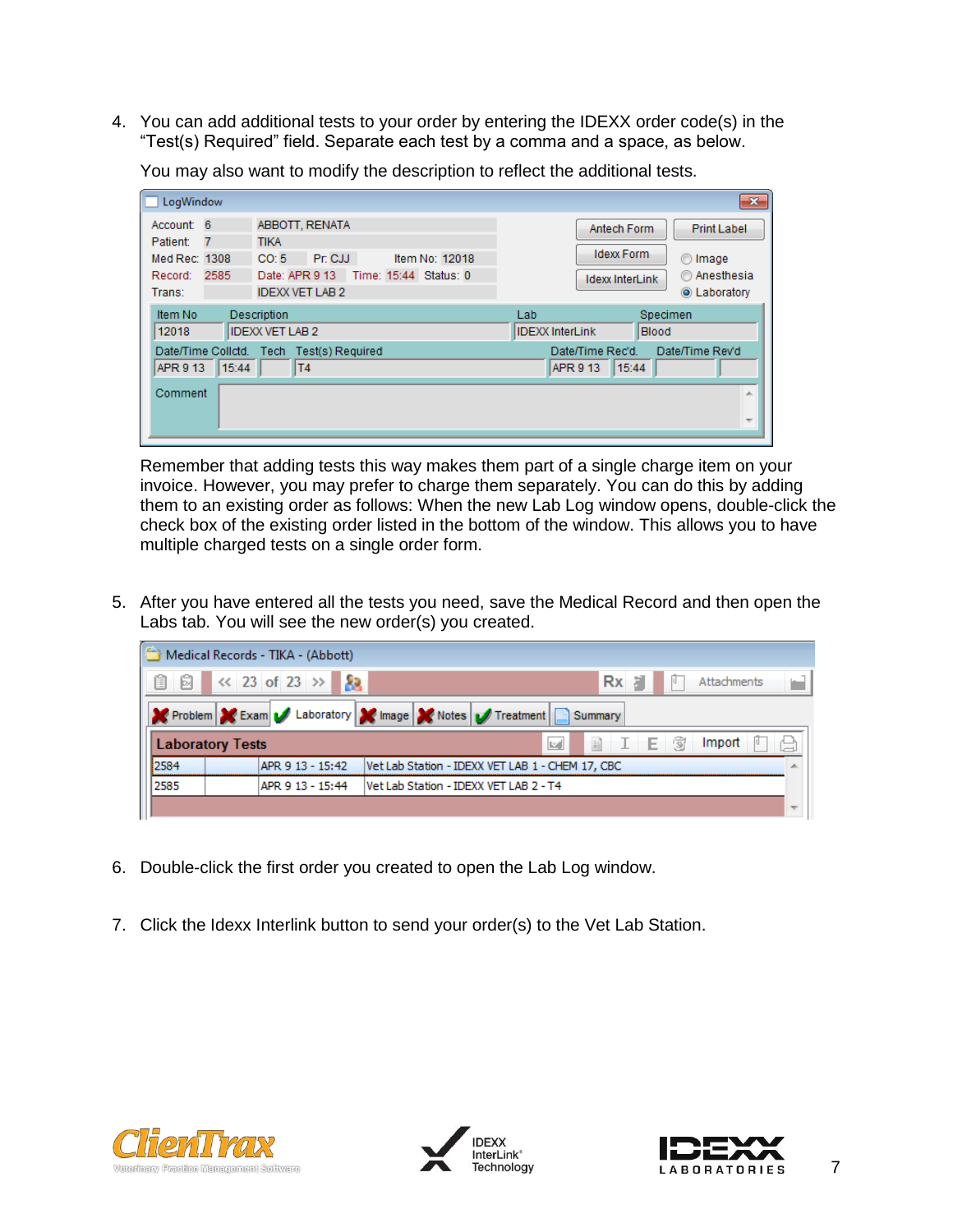4. You can add additional tests to your order by entering the IDEXX order code(s) in the "Test(s) Required" field. Separate each test by a comma and a space, as below.

| LogWindow                        |                             |                        |                                      |                |     |                                    |                        | $\mathbf{x}$                      |
|----------------------------------|-----------------------------|------------------------|--------------------------------------|----------------|-----|------------------------------------|------------------------|-----------------------------------|
| Account: 6                       |                             | ABBOTT, RENATA         |                                      |                |     |                                    | Antech Form            | <b>Print Label</b>                |
| <b>Patient:</b><br>Med Rec: 1308 | - 7                         | <b>TIKA</b><br>CO:5    | Pr: CJJ                              | Item No: 12018 |     |                                    | <b>Idexx Form</b>      | lmage                             |
| Record:<br>Trans:                | 2585                        | <b>IDEXX VET LAB 2</b> | Date: APR 9 13 Time: 15:44 Status: 0 |                |     |                                    | <b>Idexx InterLink</b> | Anesthesia<br><b>O</b> Laboratory |
| Item No                          |                             | Description            |                                      |                | Lab |                                    |                        | Specimen                          |
| 12018                            |                             | <b>IDEXX VET LAB 2</b> |                                      |                |     | <b>IDEXX InterLink</b>             | Blood                  |                                   |
| APR 9 13                         | Date/Time Collctd.<br>15:44 | Tech<br><b>T4</b>      | Test(s) Required                     |                |     | Date/Time Rec'd.<br>APR 9 13 15:44 |                        | Date/Time Rev'd                   |
| Comment                          |                             |                        |                                      |                |     |                                    |                        | 止                                 |
|                                  |                             |                        |                                      |                |     |                                    |                        | $\overline{\nabla}$               |

You may also want to modify the description to reflect the additional tests.

Remember that adding tests this way makes them part of a single charge item on your invoice. However, you may prefer to charge them separately. You can do this by adding them to an existing order as follows: When the new Lab Log window opens, double-click the check box of the existing order listed in the bottom of the window. This allows you to have multiple charged tests on a single order form.

5. After you have entered all the tests you need, save the Medical Record and then open the Labs tab. You will see the new order(s) you created.

|        | Medical Records - TIKA - (Abbott) |                                                             |
|--------|-----------------------------------|-------------------------------------------------------------|
| Ô<br>日 | $\ll$ 23 of 23 $\gg$ $\approx$    | $Rx =$<br>Attachments                                       |
|        |                                   | Problem X Exam Laboratory X Image X Notes Treatment Summary |
|        | <b>Laboratory Tests</b>           | IET<br>Import<br>ii)<br>$\vert x \vert$                     |
| 2584   | APR 9 13 - 15:42                  | Vet Lab Station - IDEXX VET LAB 1 - CHEM 17, CBC            |
| 2585   | APR 9 13 - 15:44                  | Vet Lab Station - IDEXX VET LAB 2 - T4                      |
|        |                                   |                                                             |

- 6. Double-click the first order you created to open the Lab Log window.
- 7. Click the Idexx Interlink button to send your order(s) to the Vet Lab Station.





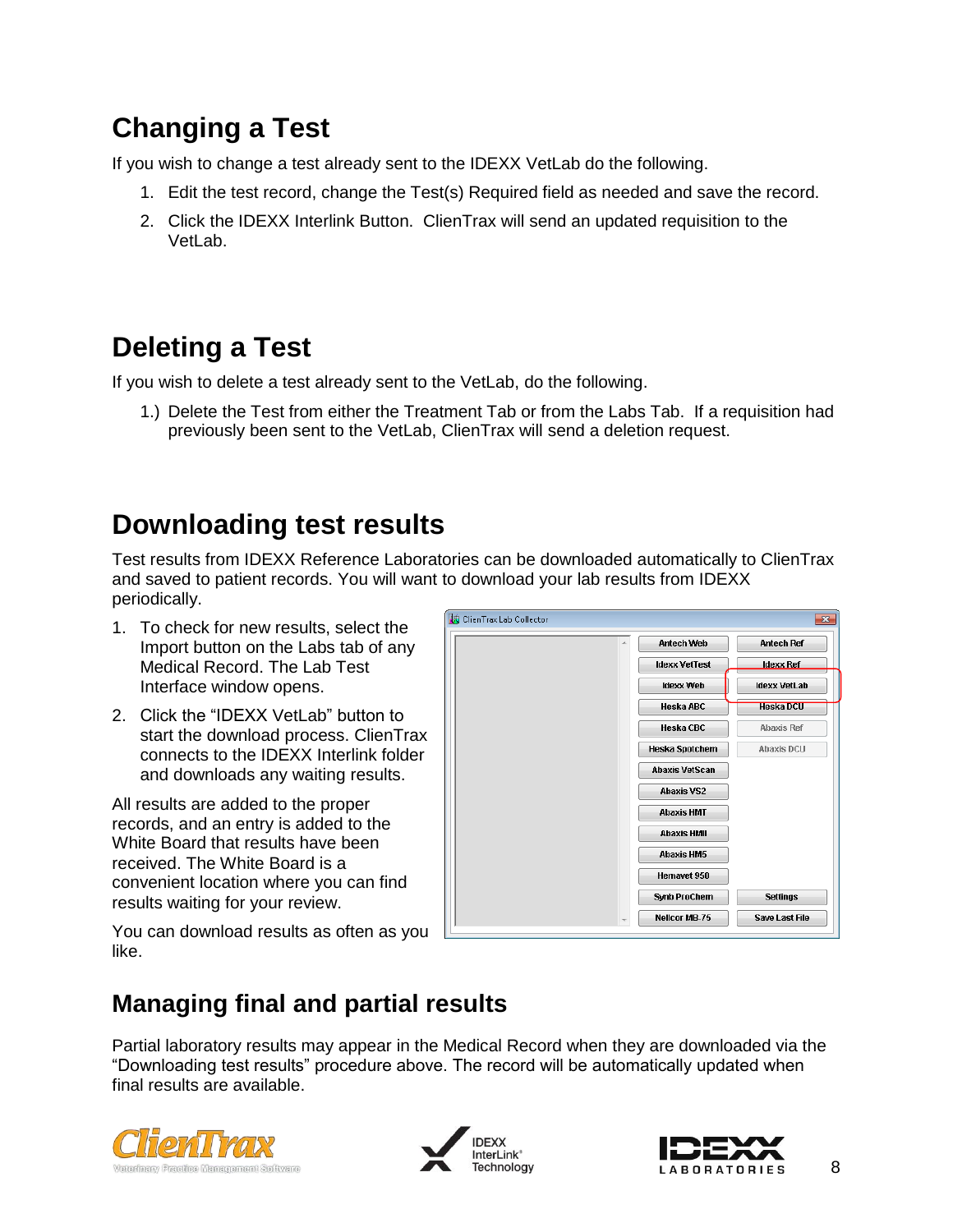# **Changing a Test**

If you wish to change a test already sent to the IDEXX VetLab do the following.

- 1. Edit the test record, change the Test(s) Required field as needed and save the record.
- 2. Click the IDEXX Interlink Button. ClienTrax will send an updated requisition to the VetLab.

# **Deleting a Test**

If you wish to delete a test already sent to the VetLab, do the following.

1.) Delete the Test from either the Treatment Tab or from the Labs Tab. If a requisition had previously been sent to the VetLab, ClienTrax will send a deletion request.

# **Downloading test results**

Test results from IDEXX Reference Laboratories can be downloaded automatically to ClienTrax and saved to patient records. You will want to download your lab results from IDEXX periodically.

- 1. To check for new results, select the Import button on the Labs tab of any Medical Record. The Lab Test Interface window opens.
- 2. Click the "IDEXX VetLab" button to start the download process. ClienTrax connects to the IDEXX Interlink folder and downloads any waiting results.

All results are added to the proper records, and an entry is added to the White Board that results have been received. The White Board is a convenient location where you can find results waiting for your review.

| Á | <b>Antech Web</b>     | <b>Antech Ref</b>     |
|---|-----------------------|-----------------------|
|   | <b>Idexx VetTest</b>  | <b>Idexx Ref</b>      |
|   | Idexx Web             | Idexx VetLab          |
|   | <b>Heska ABC</b>      | <b>Heska DCU</b>      |
|   | <b>Heska CBC</b>      | <b>Abaxis Ref</b>     |
|   | <b>Heska Spotchem</b> | <b>Abaxis DCU</b>     |
|   | <b>Abaxis VetScan</b> |                       |
|   | <b>Abaxis VS2</b>     |                       |
|   | <b>Abaxis HMT</b>     |                       |
|   | <b>Abaxis HMII</b>    |                       |
|   | <b>Abaxis HM5</b>     |                       |
|   | Hemavet 950           |                       |
|   | <b>Synb ProChem</b>   | <b>Settings</b>       |
|   | <b>Nellcor MB-75</b>  | <b>Save Last File</b> |

You can download results as often as you like.

### **Managing final and partial results**

Partial laboratory results may appear in the Medical Record when they are downloaded via the "Downloading test results" procedure above. The record will be automatically updated when final results are available.